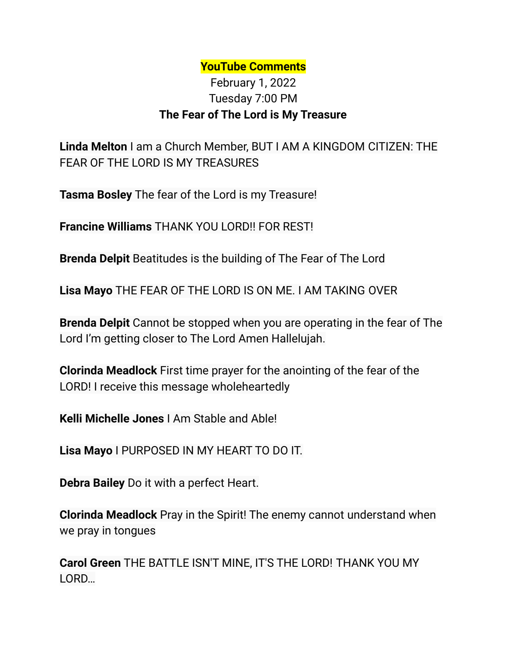## **YouTube Comments**

## February 1, 2022 Tuesday 7:00 PM **The Fear of The Lord is My Treasure**

**Linda Melton** I am a Church Member, BUT I AM A KINGDOM CITIZEN: THE FEAR OF THE LORD IS MY TREASURES

**Tasma Bosley** The fear of the Lord is my Treasure!

**Francine Williams** THANK YOU LORD!! FOR REST!

**Brenda Delpit** Beatitudes is the building of The Fear of The Lord

**Lisa Mayo** THE FEAR OF THE LORD IS ON ME. I AM TAKING OVER

**Brenda Delpit** Cannot be stopped when you are operating in the fear of The Lord I'm getting closer to The Lord Amen Hallelujah.

**Clorinda Meadlock** First time prayer for the anointing of the fear of the LORD! I receive this message wholeheartedly

**Kelli Michelle Jones** I Am Stable and Able!

**Lisa Mayo** I PURPOSED IN MY HEART TO DO IT.

**Debra Bailey** Do it with a perfect Heart.

**Clorinda Meadlock** Pray in the Spirit! The enemy cannot understand when we pray in tongues

**Carol Green** THE BATTLE ISN'T MINE, IT'S THE LORD! THANK YOU MY LORD…